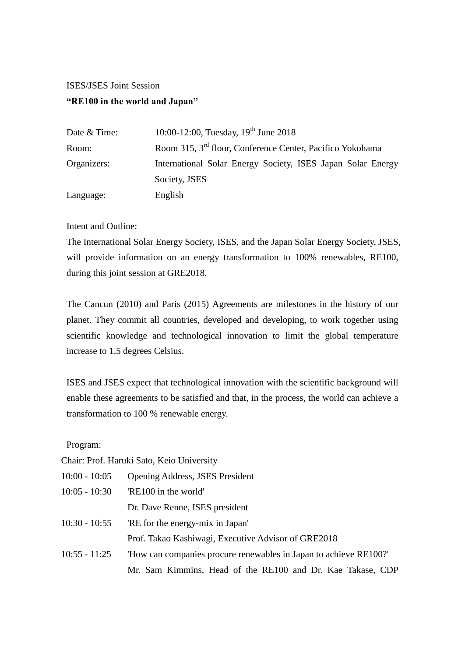## ISES/JSES Joint Session

## **"RE100 in the world and Japan"**

| Date & Time: | 10:00-12:00, Tuesday, $19^{th}$ June 2018                             |
|--------------|-----------------------------------------------------------------------|
| Room:        | Room 315, 3 <sup>rd</sup> floor, Conference Center, Pacifico Yokohama |
| Organizers:  | International Solar Energy Society, ISES Japan Solar Energy           |
|              | Society, JSES                                                         |
| Language:    | English                                                               |

## Intent and Outline:

The International Solar Energy Society, ISES, and the Japan Solar Energy Society, JSES, will provide information on an energy transformation to 100% renewables, RE100, during this joint session at GRE2018.

The Cancun (2010) and Paris (2015) Agreements are milestones in the history of our planet. They commit all countries, developed and developing, to work together using scientific knowledge and technological innovation to limit the global temperature increase to 1.5 degrees Celsius.

ISES and JSES expect that technological innovation with the scientific background will enable these agreements to be satisfied and that, in the process, the world can achieve a transformation to 100 % renewable energy.

Program:

|                 | Chair: Prof. Haruki Sato, Keio University                         |
|-----------------|-------------------------------------------------------------------|
| $10:00 - 10:05$ | <b>Opening Address, JSES President</b>                            |
| $10:05 - 10:30$ | 'RE100 in the world'                                              |
|                 | Dr. Dave Renne, ISES president                                    |
| $10:30 - 10:55$ | 'RE for the energy-mix in Japan'                                  |
|                 | Prof. Takao Kashiwagi, Executive Advisor of GRE2018               |
| $10:55 - 11:25$ | "How can companies procure renewables in Japan to achieve RE100?" |
|                 | Mr. Sam Kimmins, Head of the RE100 and Dr. Kae Takase, CDP        |